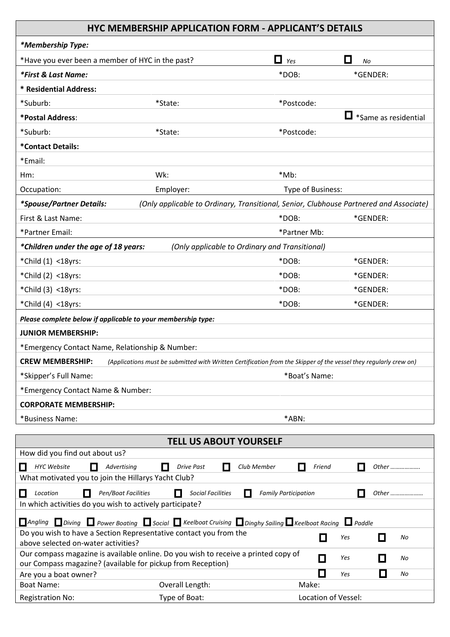## **HYC MEMBERSHIP APPLICATION FORM - APPLICANT'S DETAILS**

|                                                                                                                                                   | HYC MEMBERSHIP APPLICATION FORM - APPLICANT'S DETAILS                                                             |                             |                             |  |  |
|---------------------------------------------------------------------------------------------------------------------------------------------------|-------------------------------------------------------------------------------------------------------------------|-----------------------------|-----------------------------|--|--|
| *Membership Type:                                                                                                                                 |                                                                                                                   |                             |                             |  |  |
| *Have you ever been a member of HYC in the past?                                                                                                  |                                                                                                                   | $\Box$ Yes                  | П<br>No                     |  |  |
| *First & Last Name:                                                                                                                               |                                                                                                                   | *DOB:                       | *GENDER:                    |  |  |
| * Residential Address:                                                                                                                            |                                                                                                                   |                             |                             |  |  |
| *Suburb:                                                                                                                                          | *State:                                                                                                           | *Postcode:                  |                             |  |  |
| *Postal Address:                                                                                                                                  |                                                                                                                   |                             | $\Box$ *Same as residential |  |  |
| *Suburb:                                                                                                                                          | *State:                                                                                                           | *Postcode:                  |                             |  |  |
| *Contact Details:                                                                                                                                 |                                                                                                                   |                             |                             |  |  |
| *Email:                                                                                                                                           |                                                                                                                   |                             |                             |  |  |
| $Hm$ :                                                                                                                                            | Wk:                                                                                                               | *Mb:                        |                             |  |  |
| Occupation:                                                                                                                                       | Employer:                                                                                                         | Type of Business:           |                             |  |  |
| *Spouse/Partner Details:                                                                                                                          | (Only applicable to Ordinary, Transitional, Senior, Clubhouse Partnered and Associate)                            |                             |                             |  |  |
| First & Last Name:                                                                                                                                |                                                                                                                   | *DOB:                       | *GENDER:                    |  |  |
| *Partner Email:                                                                                                                                   |                                                                                                                   | *Partner Mb:                |                             |  |  |
| *Children under the age of 18 years:                                                                                                              | (Only applicable to Ordinary and Transitional)                                                                    |                             |                             |  |  |
| *Child (1) <18yrs:                                                                                                                                |                                                                                                                   | *DOB:                       | *GENDER:                    |  |  |
| *Child (2) <18yrs:                                                                                                                                |                                                                                                                   | *DOB:                       | *GENDER:                    |  |  |
| *Child (3) <18yrs:                                                                                                                                |                                                                                                                   | *DOB:                       | *GENDER:                    |  |  |
| *Child (4) <18yrs:                                                                                                                                |                                                                                                                   | *DOB:                       | *GENDER:                    |  |  |
| Please complete below if applicable to your membership type:                                                                                      |                                                                                                                   |                             |                             |  |  |
| <b>JUNIOR MEMBERSHIP:</b>                                                                                                                         |                                                                                                                   |                             |                             |  |  |
| *Emergency Contact Name, Relationship & Number:                                                                                                   |                                                                                                                   |                             |                             |  |  |
| <b>CREW MEMBERSHIP:</b>                                                                                                                           | (Applications must be submitted with Written Certification from the Skipper of the vessel they regularly crew on) |                             |                             |  |  |
| *Skipper's Full Name:                                                                                                                             |                                                                                                                   | *Boat's Name:               |                             |  |  |
| *Emergency Contact Name & Number:                                                                                                                 |                                                                                                                   |                             |                             |  |  |
| <b>CORPORATE MEMBERSHIP:</b>                                                                                                                      |                                                                                                                   |                             |                             |  |  |
| *Business Name:                                                                                                                                   |                                                                                                                   | *ABN:                       |                             |  |  |
|                                                                                                                                                   |                                                                                                                   |                             |                             |  |  |
| <b>TELL US ABOUT YOURSELF</b>                                                                                                                     |                                                                                                                   |                             |                             |  |  |
| How did you find out about us?<br><b>HYC Website</b><br>Advertising                                                                               | <b>Drive Past</b><br>Club Member<br>ш<br>H                                                                        | П<br>Friend                 | Other                       |  |  |
| What motivated you to join the Hillarys Yacht Club?                                                                                               |                                                                                                                   |                             |                             |  |  |
| Pen/Boat Facilities<br>Location<br>H                                                                                                              | <b>Social Facilities</b><br>$\mathsf{I}$                                                                          | <b>Family Participation</b> | Other                       |  |  |
| In which activities do you wish to actively participate?                                                                                          |                                                                                                                   |                             |                             |  |  |
| <b>Angling</b> Diving $\Box$ Power Boating $\Box$ Social $\Box$ Keelboat Cruising $\Box$ Dinghy Sailing $\Box$ Keelboat Racing $\Box$ Paddle      |                                                                                                                   |                             |                             |  |  |
| Do you wish to have a Section Representative contact you from the<br>above selected on-water activities?                                          |                                                                                                                   | $\Box$                      | Yes<br>$\Box$<br>No         |  |  |
| Our compass magazine is available online. Do you wish to receive a printed copy of<br>our Compass magazine? (available for pickup from Reception) |                                                                                                                   | П                           | Yes<br>П<br>No              |  |  |
| Are you a boat owner?                                                                                                                             |                                                                                                                   | $\Box$                      | I I<br>No<br>Yes            |  |  |
| <b>Boat Name:</b>                                                                                                                                 | Overall Length:                                                                                                   | Make:                       |                             |  |  |
| <b>Registration No:</b>                                                                                                                           | Type of Boat:                                                                                                     | Location of Vessel:         |                             |  |  |